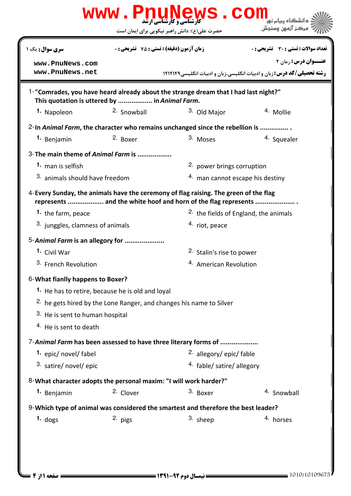|                                                                                                       |                                                    | حضرت علی(ع): دانش راهبر نیکویی برای ایمان است                                                                                                          | مركز آزمون وسنجش                                                               |  |
|-------------------------------------------------------------------------------------------------------|----------------------------------------------------|--------------------------------------------------------------------------------------------------------------------------------------------------------|--------------------------------------------------------------------------------|--|
| سری سوال : یک ۱                                                                                       | <b>زمان آزمون (دقیقه) : تستی : 75 ٪ تشریحی : 0</b> |                                                                                                                                                        | تعداد سوالات : تستى : 30 ٪ تشريحي : 0                                          |  |
| www.PnuNews.com                                                                                       |                                                    |                                                                                                                                                        | <b>عنــوان درس: رمان ۲</b>                                                     |  |
| www.PnuNews.net                                                                                       |                                                    |                                                                                                                                                        | <b>رشته تحصیلی/کد درس: زبان و ادبیات انگلیسی،زبان و ادبیات انگلیسی ۱۲۱۲۱۴۹</b> |  |
| This quotation is uttered by  in Animal Farm.                                                         |                                                    | 1-"Comrades, you have heard already about the strange dream that I had last night?"                                                                    |                                                                                |  |
| 1. Napoleon                                                                                           | 2. Snowball                                        | 3. Old Major                                                                                                                                           | 4. Mollie                                                                      |  |
|                                                                                                       |                                                    | 2-In Animal Farm, the character who remains unchanged since the rebellion is                                                                           |                                                                                |  |
| 1. Benjamin                                                                                           | 2. Boxer                                           | 3. Moses                                                                                                                                               | 4. Squealer                                                                    |  |
| 3-The main theme of Animal Farm is                                                                    |                                                    |                                                                                                                                                        |                                                                                |  |
| 1. man is selfish                                                                                     |                                                    | <sup>2</sup> power brings corruption                                                                                                                   |                                                                                |  |
|                                                                                                       | 3. animals should have freedom                     |                                                                                                                                                        | 4. man cannot escape his destiny                                               |  |
|                                                                                                       |                                                    | 4-Every Sunday, the animals have the ceremony of flag raising. The green of the flag<br>represents  and the white hoof and horn of the flag represents |                                                                                |  |
| 1. the farm, peace                                                                                    |                                                    | <sup>2.</sup> the fields of England, the animals                                                                                                       |                                                                                |  |
| <sup>3.</sup> junggles, clamness of animals                                                           |                                                    | 4. riot, peace                                                                                                                                         |                                                                                |  |
| 5-Animal Farm is an allegory for                                                                      |                                                    |                                                                                                                                                        |                                                                                |  |
|                                                                                                       |                                                    | 2. Stalin's rise to power                                                                                                                              |                                                                                |  |
| 1. Civil War                                                                                          |                                                    |                                                                                                                                                        |                                                                                |  |
| 3. French Revolution                                                                                  |                                                    | <sup>4.</sup> American Revolution                                                                                                                      |                                                                                |  |
|                                                                                                       |                                                    |                                                                                                                                                        |                                                                                |  |
| <sup>1</sup> . He has to retire, because he is old and loyal                                          |                                                    |                                                                                                                                                        |                                                                                |  |
|                                                                                                       |                                                    | <sup>2.</sup> he gets hired by the Lone Ranger, and changes his name to Silver                                                                         |                                                                                |  |
| 3. He is sent to human hospital                                                                       |                                                    |                                                                                                                                                        |                                                                                |  |
| <sup>4</sup> He is sent to death                                                                      |                                                    |                                                                                                                                                        |                                                                                |  |
|                                                                                                       |                                                    | 7-Animal Farm has been assessed to have three literary forms of                                                                                        |                                                                                |  |
| 1. epic/ novel/ fabel                                                                                 |                                                    | 2. allegory/epic/fable                                                                                                                                 |                                                                                |  |
| 3. satire/ novel/ epic                                                                                |                                                    | <sup>4.</sup> fable/ satire/ allegory                                                                                                                  |                                                                                |  |
|                                                                                                       |                                                    |                                                                                                                                                        |                                                                                |  |
| 1. Benjamin                                                                                           | 2. Clover                                          | 3. Boxer                                                                                                                                               | 4. Snowball                                                                    |  |
| 6-What fianlly happens to Boxer?<br>8-What character adopts the personal maxim: "I will work harder?" |                                                    | 9-Which type of animal was considered the smartest and therefore the best leader?                                                                      |                                                                                |  |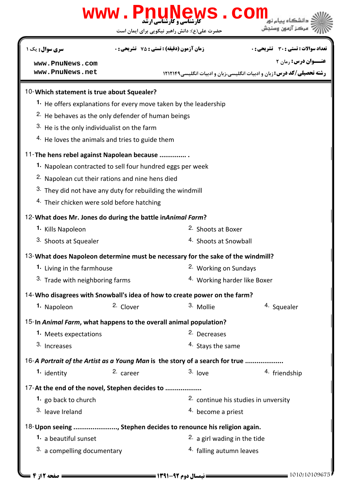## حضرت علي(ع): دانش راهبر نيكويي براي ايمان است كارشناسي و كارشناسي ارشد **[www.PnuNews.com](http://pnunews.com) عنـــوان درس:** رمان ۲ **رشته تحصیلی/کد درس:** زبان و ادبیات انگلیسی،زبان و ادبیات انگلیسی1۲۱۲۱۴۹ تعداد سوالات : تستي تشريحي زمان آزمون (دقيقه) : تستي تشريحي سري سوال ! " \$: %& : \$ #\$: : : 10- Which statement is true about Squealer? 1. He offers explanations for every move taken by the leadership  $2.$  He behaves as the only defender of human beings  $3.$  He is the only individualist on the farm  $4.$  He loves the animals and tries to guide them 11- The hens rebel against Napolean because ............... 1. Napolean contracted to sell four hundred eggs per week <sup>2.</sup> Napolean cut their rations and nine hens died  $3.$  They did not have any duty for rebuilding the windmill 4. Their chicken were sold before hatching 12- What does Mr. Jones do during the battle in Animal Farm? 2. Shoots at Boxer 4. Shoots at Snowball **1.** Kills Napoleon 3. Shoots at Squealer 13- What does Napoleon determine must be necessary for the sake of the windmill? 1. Living in the farmhouse **1.** 2. Working on Sundays 4. Working harder like Boxer 3. Trade with neighboring farms 14- Who disagrees with Snowball's idea of how to create power on the farm?  $2.$  Clover  $3.$  Mollie  $4.$  Squealer **1.** Napoleon 15-In Animal Farm, what happens to the overall animal population? **1.** Meets expectations **1.** 2. Decreases 4. Stays the same 3. Increases 16-A Portrait of the Artist as a Young Man is the story of a search for true ................... 2.  $c$ areer 3. love  $\frac{3}{2}$  friendship **1.** identity 17-At the end of the novel, Stephen decides to .................. 2. continue his studies in unversity 4. become a priest **1.** go back to church 3. leave Ireland 18- Upon seeing ......................, Stephen decides to renounce his religion again. 2. a girl wading in the tide  $3.$  a compelling documentary  $4.$  falling autumn leaves **1.** a beautiful sunset **[www.PnuNews.com](http://pnunews.com) [www.PnuNews.net](http://www.PnuNews.net)**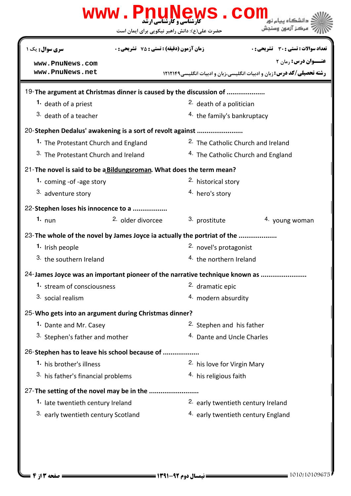|                                                                             | www.PnuNews.com<br>حضرت علی(ع): دانش راهبر نیکویی برای ایمان است |                                                | مركز آزمون وسندش                                                                                              |  |
|-----------------------------------------------------------------------------|------------------------------------------------------------------|------------------------------------------------|---------------------------------------------------------------------------------------------------------------|--|
| سری سوال: یک ۱                                                              | <b>زمان آزمون (دقیقه) : تستی : 75 ٪ تشریحی : 0</b>               |                                                | تعداد سوالات : تستي : 30 ٪ تشريحي : 0                                                                         |  |
| www.PnuNews.com<br>www.PnuNews.net                                          |                                                                  |                                                | <b>عنـــوان درس: رمان ۲</b><br><b>رشته تحصیلی/کد درس:</b> زبان و ادبیات انگلیسی،زبان و ادبیات انگلیسی،۱۲۱۲۱۴۹ |  |
| 19-The argument at Christmas dinner is caused by the discussion of          |                                                                  |                                                |                                                                                                               |  |
| 1. death of a priest                                                        |                                                                  | <sup>2.</sup> death of a politician            |                                                                                                               |  |
| <sup>3</sup> death of a teacher                                             |                                                                  | <sup>4</sup> the family's bankruptacy          |                                                                                                               |  |
| 20-Stephen Dedalus' awakening is a sort of revolt against                   |                                                                  |                                                |                                                                                                               |  |
| 1. The Protestant Church and England                                        |                                                                  | <sup>2</sup> . The Catholic Church and Ireland |                                                                                                               |  |
| 3. The Protestant Church and Ireland                                        |                                                                  | <sup>4.</sup> The Catholic Church and England  |                                                                                                               |  |
| 21-The novel is said to be a Bildungsroman. What does the term mean?        |                                                                  |                                                |                                                                                                               |  |
| 1. coming -of -age story                                                    |                                                                  | 2. historical story                            |                                                                                                               |  |
| 3. adventure story                                                          |                                                                  | 4. hero's story                                |                                                                                                               |  |
| 22-Stephen loses his innocence to a                                         |                                                                  |                                                |                                                                                                               |  |
| 1. $num$                                                                    | 2. older divorcee                                                | 3. prostitute                                  | 4. young woman                                                                                                |  |
| 23- The whole of the novel by James Joyce ia actually the portriat of the   |                                                                  |                                                |                                                                                                               |  |
| 1. Irish people                                                             |                                                                  | 2. novel's protagonist                         |                                                                                                               |  |
| 3. the southern Ireland                                                     |                                                                  | <sup>4.</sup> the northern Ireland             |                                                                                                               |  |
| 24-James Joyce was an important pioneer of the narrative technique known as |                                                                  |                                                |                                                                                                               |  |
| 1. stream of consciousness                                                  |                                                                  | 2. dramatic epic                               |                                                                                                               |  |
| 3. social realism                                                           |                                                                  | 4. modern absurdity                            |                                                                                                               |  |
| 25-Who gets into an argument during Christmas dinner?                       |                                                                  |                                                |                                                                                                               |  |
| 1. Dante and Mr. Casey                                                      |                                                                  | <sup>2.</sup> Stephen and his father           |                                                                                                               |  |
| 3. Stephen's father and mother                                              |                                                                  |                                                | 4. Dante and Uncle Charles                                                                                    |  |
| 26-Stephen has to leave his school because of                               |                                                                  |                                                |                                                                                                               |  |
| 1. his brother's illness                                                    |                                                                  | 2. his love for Virgin Mary                    |                                                                                                               |  |
| 3. his father's financial problems                                          |                                                                  | 4. his religious faith                         |                                                                                                               |  |
| 27-The setting of the novel may be in the                                   |                                                                  |                                                |                                                                                                               |  |
| 1. late twentieth century Ireland                                           |                                                                  | 2. early twentieth century Ireland             |                                                                                                               |  |
| 3. early twentieth century Scotland                                         |                                                                  |                                                | 4. early twentieth century England                                                                            |  |